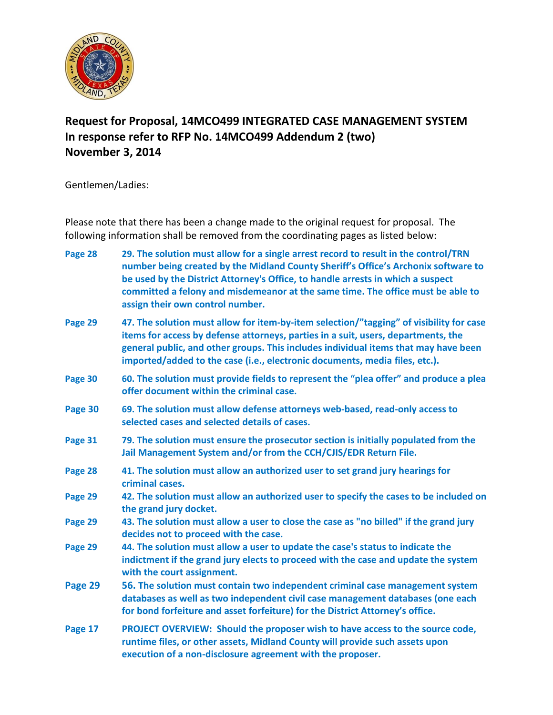

# **Request for Proposal, 14MCO499 INTEGRATED CASE MANAGEMENT SYSTEM In response refer to RFP No. 14MCO499 Addendum 2 (two) November 3, 2014**

Gentlemen/Ladies:

Please note that there has been a change made to the original request for proposal. The following information shall be removed from the coordinating pages as listed below:

| Page 28 | 29. The solution must allow for a single arrest record to result in the control/TRN<br>number being created by the Midland County Sheriff's Office's Archonix software to<br>be used by the District Attorney's Office, to handle arrests in which a suspect<br>committed a felony and misdemeanor at the same time. The office must be able to<br>assign their own control number. |
|---------|-------------------------------------------------------------------------------------------------------------------------------------------------------------------------------------------------------------------------------------------------------------------------------------------------------------------------------------------------------------------------------------|
| Page 29 | 47. The solution must allow for item-by-item selection/"tagging" of visibility for case<br>items for access by defense attorneys, parties in a suit, users, departments, the<br>general public, and other groups. This includes individual items that may have been<br>imported/added to the case (i.e., electronic documents, media files, etc.).                                  |
| Page 30 | 60. The solution must provide fields to represent the "plea offer" and produce a plea<br>offer document within the criminal case.                                                                                                                                                                                                                                                   |
| Page 30 | 69. The solution must allow defense attorneys web-based, read-only access to<br>selected cases and selected details of cases.                                                                                                                                                                                                                                                       |
| Page 31 | 79. The solution must ensure the prosecutor section is initially populated from the<br>Jail Management System and/or from the CCH/CJIS/EDR Return File.                                                                                                                                                                                                                             |
| Page 28 | 41. The solution must allow an authorized user to set grand jury hearings for<br>criminal cases.                                                                                                                                                                                                                                                                                    |
| Page 29 | 42. The solution must allow an authorized user to specify the cases to be included on<br>the grand jury docket.                                                                                                                                                                                                                                                                     |
| Page 29 | 43. The solution must allow a user to close the case as "no billed" if the grand jury<br>decides not to proceed with the case.                                                                                                                                                                                                                                                      |
| Page 29 | 44. The solution must allow a user to update the case's status to indicate the<br>indictment if the grand jury elects to proceed with the case and update the system<br>with the court assignment.                                                                                                                                                                                  |
| Page 29 | 56. The solution must contain two independent criminal case management system<br>databases as well as two independent civil case management databases (one each<br>for bond forfeiture and asset forfeiture) for the District Attorney's office.                                                                                                                                    |
| Page 17 | PROJECT OVERVIEW: Should the proposer wish to have access to the source code,<br>runtime files, or other assets, Midland County will provide such assets upon<br>execution of a non-disclosure agreement with the proposer.                                                                                                                                                         |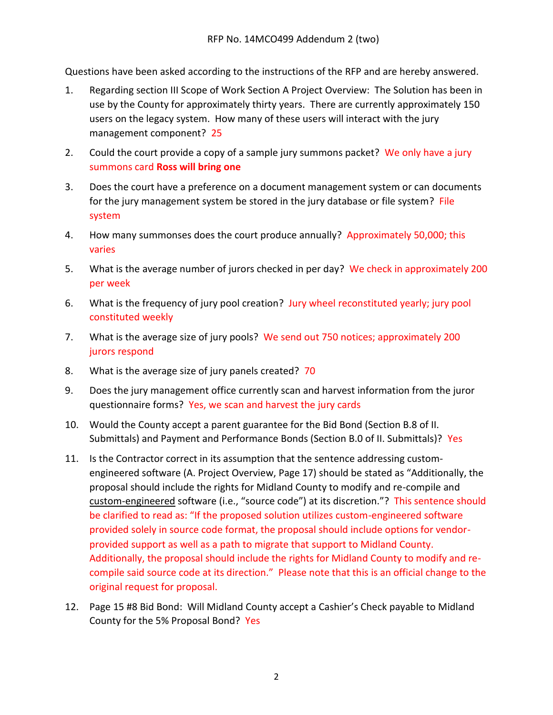Questions have been asked according to the instructions of the RFP and are hereby answered.

- 1. Regarding section III Scope of Work Section A Project Overview: The Solution has been in use by the County for approximately thirty years. There are currently approximately 150 users on the legacy system. How many of these users will interact with the jury management component? 25
- 2. Could the court provide a copy of a sample jury summons packet? We only have a jury summons card **Ross will bring one**
- 3. Does the court have a preference on a document management system or can documents for the jury management system be stored in the jury database or file system? File system
- 4. How many summonses does the court produce annually? Approximately 50,000; this varies
- 5. What is the average number of jurors checked in per day? We check in approximately 200 per week
- 6. What is the frequency of jury pool creation? Jury wheel reconstituted yearly; jury pool constituted weekly
- 7. What is the average size of jury pools? We send out 750 notices; approximately 200 jurors respond
- 8. What is the average size of jury panels created? 70
- 9. Does the jury management office currently scan and harvest information from the juror questionnaire forms? Yes, we scan and harvest the jury cards
- 10. Would the County accept a parent guarantee for the Bid Bond (Section B.8 of II. Submittals) and Payment and Performance Bonds (Section B.0 of II. Submittals)? Yes
- 11. Is the Contractor correct in its assumption that the sentence addressing customengineered software (A. Project Overview, Page 17) should be stated as "Additionally, the proposal should include the rights for Midland County to modify and re-compile and custom-engineered software (i.e., "source code") at its discretion."? This sentence should be clarified to read as: "If the proposed solution utilizes custom-engineered software provided solely in source code format, the proposal should include options for vendorprovided support as well as a path to migrate that support to Midland County. Additionally, the proposal should include the rights for Midland County to modify and recompile said source code at its direction." Please note that this is an official change to the original request for proposal.
- 12. Page 15 #8 Bid Bond: Will Midland County accept a Cashier's Check payable to Midland County for the 5% Proposal Bond? Yes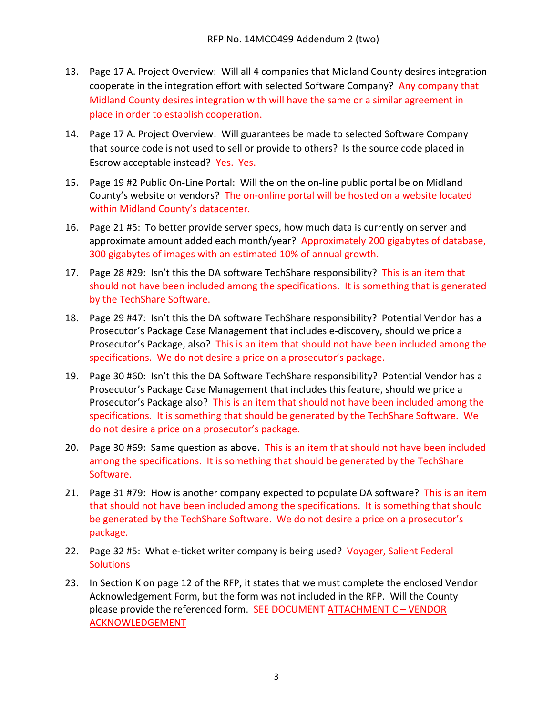- 13. Page 17 A. Project Overview: Will all 4 companies that Midland County desires integration cooperate in the integration effort with selected Software Company? Any company that Midland County desires integration with will have the same or a similar agreement in place in order to establish cooperation.
- 14. Page 17 A. Project Overview: Will guarantees be made to selected Software Company that source code is not used to sell or provide to others? Is the source code placed in Escrow acceptable instead? Yes. Yes.
- 15. Page 19 #2 Public On-Line Portal: Will the on the on-line public portal be on Midland County's website or vendors? The on-online portal will be hosted on a website located within Midland County's datacenter.
- 16. Page 21 #5: To better provide server specs, how much data is currently on server and approximate amount added each month/year? Approximately 200 gigabytes of database, 300 gigabytes of images with an estimated 10% of annual growth.
- 17. Page 28 #29: Isn't this the DA software TechShare responsibility? This is an item that should not have been included among the specifications. It is something that is generated by the TechShare Software.
- 18. Page 29 #47: Isn't this the DA software TechShare responsibility? Potential Vendor has a Prosecutor's Package Case Management that includes e-discovery, should we price a Prosecutor's Package, also? This is an item that should not have been included among the specifications. We do not desire a price on a prosecutor's package.
- 19. Page 30 #60: Isn't this the DA Software TechShare responsibility? Potential Vendor has a Prosecutor's Package Case Management that includes this feature, should we price a Prosecutor's Package also? This is an item that should not have been included among the specifications. It is something that should be generated by the TechShare Software. We do not desire a price on a prosecutor's package.
- 20. Page 30 #69: Same question as above. This is an item that should not have been included among the specifications. It is something that should be generated by the TechShare Software.
- 21. Page 31 #79: How is another company expected to populate DA software? This is an item that should not have been included among the specifications. It is something that should be generated by the TechShare Software. We do not desire a price on a prosecutor's package.
- 22. Page 32 #5: What e-ticket writer company is being used? Voyager, Salient Federal **Solutions**
- 23. In Section K on page 12 of the RFP, it states that we must complete the enclosed Vendor Acknowledgement Form, but the form was not included in the RFP. Will the County please provide the referenced form. SEE DOCUMENT ATTACHMENT C – VENDOR ACKNOWLEDGEMENT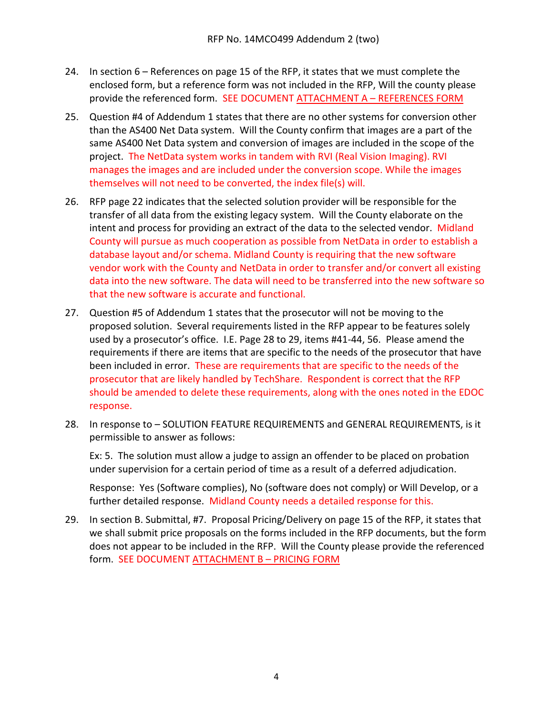- 24. In section 6 References on page 15 of the RFP, it states that we must complete the enclosed form, but a reference form was not included in the RFP, Will the county please provide the referenced form. SEE DOCUMENT ATTACHMENT A – REFERENCES FORM
- 25. Question #4 of Addendum 1 states that there are no other systems for conversion other than the AS400 Net Data system. Will the County confirm that images are a part of the same AS400 Net Data system and conversion of images are included in the scope of the project. The NetData system works in tandem with RVI (Real Vision Imaging). RVI manages the images and are included under the conversion scope. While the images themselves will not need to be converted, the index file(s) will.
- 26. RFP page 22 indicates that the selected solution provider will be responsible for the transfer of all data from the existing legacy system. Will the County elaborate on the intent and process for providing an extract of the data to the selected vendor. Midland County will pursue as much cooperation as possible from NetData in order to establish a database layout and/or schema. Midland County is requiring that the new software vendor work with the County and NetData in order to transfer and/or convert all existing data into the new software. The data will need to be transferred into the new software so that the new software is accurate and functional.
- 27. Question #5 of Addendum 1 states that the prosecutor will not be moving to the proposed solution. Several requirements listed in the RFP appear to be features solely used by a prosecutor's office. I.E. Page 28 to 29, items #41-44, 56. Please amend the requirements if there are items that are specific to the needs of the prosecutor that have been included in error. These are requirements that are specific to the needs of the prosecutor that are likely handled by TechShare. Respondent is correct that the RFP should be amended to delete these requirements, along with the ones noted in the EDOC response.
- 28. In response to SOLUTION FEATURE REQUIREMENTS and GENERAL REQUIREMENTS, is it permissible to answer as follows:

Ex: 5. The solution must allow a judge to assign an offender to be placed on probation under supervision for a certain period of time as a result of a deferred adjudication.

Response: Yes (Software complies), No (software does not comply) or Will Develop, or a further detailed response. Midland County needs a detailed response for this.

29. In section B. Submittal, #7. Proposal Pricing/Delivery on page 15 of the RFP, it states that we shall submit price proposals on the forms included in the RFP documents, but the form does not appear to be included in the RFP. Will the County please provide the referenced form. SEE DOCUMENT ATTACHMENT B – PRICING FORM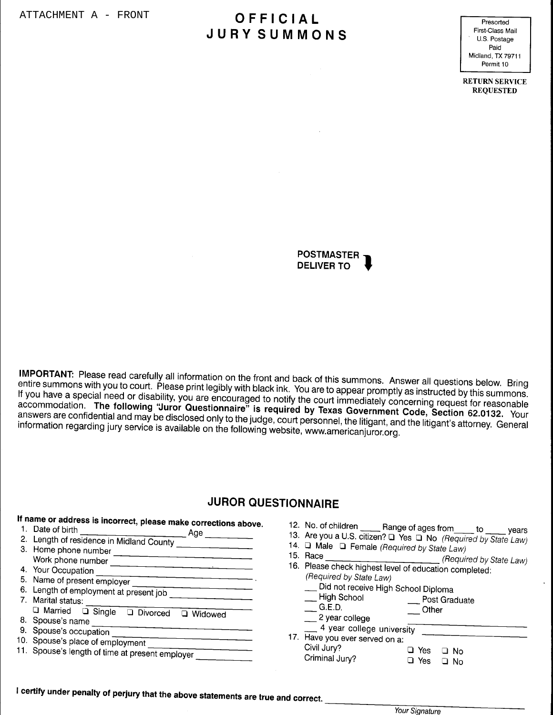# OFFICIAL **JURY SUMMONS**

Presorted First-Class Mail U.S. Postage Paid Midland, TX 79711 Permit 10

**RETURN SERVICE REQUESTED** 



IMPORTANT: Please read carefully all information on the front and back of this summons. Answer all questions below. Bring entire summons with you to court. Please print legibly with black ink. You are to appear promptly as instructed by this summons. If you have a special need or disability, you are encouraged to notify the court immediately concerning request for reasonable accommodation. The following "Juror Questionnaire" is required by Texas Government Code, Section 62.0132. Your answers are confidential and may be disclosed only to the judge, court personnel, the litigant, and the litigant's attorney. General information regarding jury service is available on the following website, www.americanjuror.org.

# **JUROR QUESTIONNAIRE**

| If name or address is incorrect, please make corrections above. |                                                                                          |
|-----------------------------------------------------------------|------------------------------------------------------------------------------------------|
| Date of birth<br>Age                                            | 12. No. of children<br>Range of ages from $\rule{1em}{0.15mm}$ $\qquad$ to $\_$<br>vears |
| Length of residence in Midland County                           | 13. Are you a U.S. citizen? Q Yes Q No (Required by State Law)                           |
| Home phone number                                               | 14. $\Box$ Male $\Box$ Female (Required by State Law)                                    |
| Work phone number                                               | 15. Race<br>(Required by State Law)                                                      |
| Your Occupation                                                 | 16. Please check highest level of education completed:                                   |
| 5. Name of present employer                                     | (Required by State Law)                                                                  |
| 6. Length of employment at present job                          | Did not receive High School Diploma                                                      |
| Marital status:                                                 | High School<br>Post Graduate                                                             |
| □ Married □ Single<br>Divorced<br>Widowed                       | G.E.D.<br>Other                                                                          |
| 8. Spouse's name                                                | 2 year college                                                                           |
| 9. Spouse's occupation                                          | 4 year college university                                                                |
| 10. Spouse's place of employment                                | Have you ever served on a:                                                               |
| 11. Spouse's length of time at present employer                 | Civil Jury?<br>$\Box$ Yes<br>□ No                                                        |
|                                                                 | Criminal Jury?<br>$\Box$ Yes<br>$\Box$ No                                                |
|                                                                 |                                                                                          |

I certify under penalty of perjury that the above statements are true and correct.

Your Signature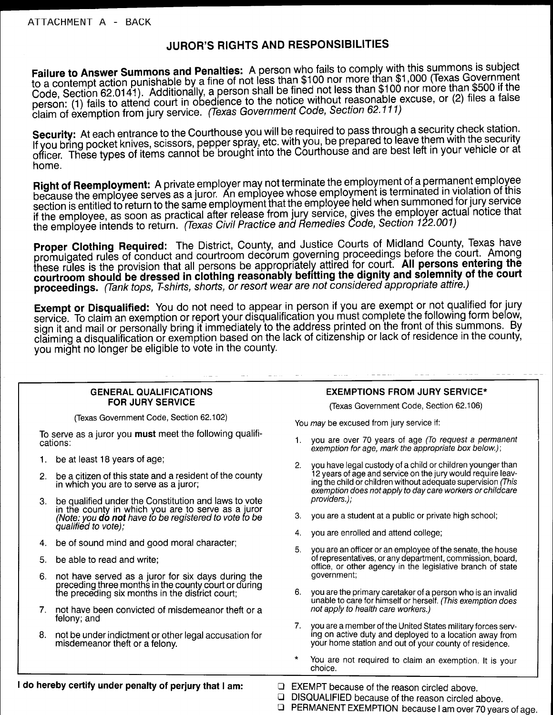# JUROR'S RIGHTS AND RESPONSIBILITIES

Failure to Answer Summons and Penalties: A person who fails to comply with this summons is subject to a contempt action punishable by a fine of not less than \$100 nor more than \$1,000 (Texas Government Code, Section 62.0141). Additionally, a person shall be fined not less than \$100 nor more than \$500 if the person: (1) fails to attend court in obedience to the notice without reasonable excuse, or (2) files a false claim of exemption from jury service. (Texas Government Code, Section 62.111)

Security: At each entrance to the Courthouse you will be required to pass through a security check station. If you bring pocket knives, scissors, pepper spray, etc. with you, be prepared to leave them with the security officer. These types of items cannot be brought into the Courthouse and are best left in your vehicle or at home.

Right of Reemployment: A private employer may not terminate the employment of a permanent employee because the employee serves as a juror. An employee whose employment is terminated in violation of this section is entitled to return to the same employment that the employee held when summoned for jury service if the employee, as soon as practical after release from jury service, gives the employer actual notice that the employee intends to return. (Texas Civil Practice and Remedies Code, Section 122.001)

Proper Clothing Required: The District, County, and Justice Courts of Midland County, Texas have promulgated rules of conduct and courtroom decorum governing proceedings before the court. Among these rules is the provision that all persons be appropriately attired for court. All persons entering the courtroom should be dressed in clothing reasonably befitting the dignity and solemnity of the court proceedings. (Tank tops, T-shirts, shorts, or resort wear are not considered appropriate attire.)

Exempt or Disqualified: You do not need to appear in person if you are exempt or not qualified for jury service. To claim an exemption or report your disqualification you must complete the following form below, sign it and mail or personally bring it immediately to the address printed on the front of this summons. By claiming a disqualification or exemption based on the lack of citizenship or lack of residence in the county, you might no longer be eligible to vote in the county.

#### **GENERAL QUALIFICATIONS FOR JURY SERVICE**

(Texas Government Code, Section 62.102)

To serve as a juror you **must** meet the following qualifications:

- be at least 18 years of age; 1.
- be a citizen of this state and a resident of the county  $2.$ in which you are to serve as a juror;
- be qualified under the Constitution and laws to vote  $3.$ in the county in which you are to serve as a juror<br>(Note: you **do not** have to be registered to vote to be qualified to vote);
- 4. be of sound mind and good moral character;
- 5. be able to read and write;
- not have served as a juror for six days during the<br>preceding three months in the county court or during<br>the preceding six months in the district court; 6.
- $7.$ not have been convicted of misdemeanor theft or a felony; and
- 8. not be under indictment or other legal accusation for misdemeanor theft or a felony.

#### **EXEMPTIONS FROM JURY SERVICE\***

(Texas Government Code, Section 62.106)

You may be excused from jury service if:

- you are over 70 years of age (To request a permanent  $1<sup>1</sup>$ exemption for age, mark the appropriate box below.);
- you have legal custody of a child or children younger than 2. 12 years of age and service on the jury would require leaving the child or children without adequate supervision (This exemption does not apply to day care workers or childcare providers.);
- 3. you are a student at a public or private high school;
- you are enrolled and attend college; 4.
- 5. you are an officer or an employee of the senate, the house of representatives, or any department, commission, board, office, or other agency in the legislative branch of state government;
- 6. you are the primary caretaker of a person who is an invalid unable to care for himself or herself. (This exemption does not apply to health care workers.)
- $7<sup>1</sup>$ you are a member of the United States military forces serving on active duty and deployed to a location away from your home station and out of your county of residence.
- You are not required to claim an exemption. It is your choice.
- $\Box$  EXEMPT because of the reason circled above.
- DISQUALIFIED because of the reason circled above.  $\Box$
- D PERMANENT EXEMPTION because I am over 70 years of age.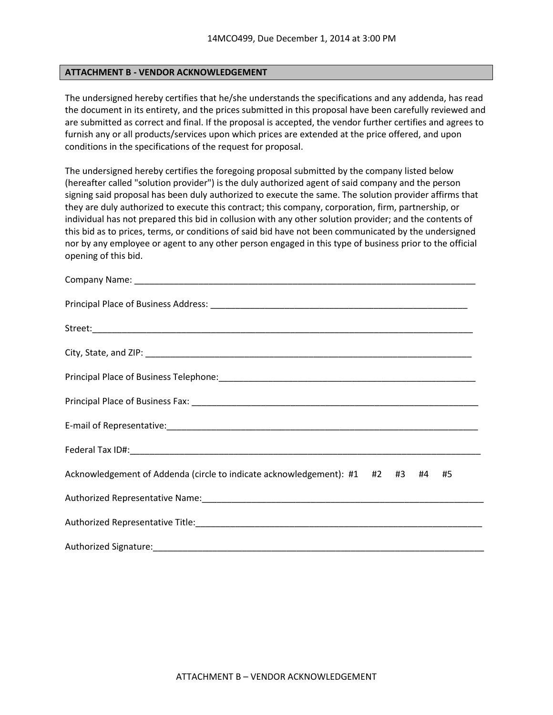#### **ATTACHMENT B - VENDOR ACKNOWLEDGEMENT**

The undersigned hereby certifies that he/she understands the specifications and any addenda, has read the document in its entirety, and the prices submitted in this proposal have been carefully reviewed and are submitted as correct and final. If the proposal is accepted, the vendor further certifies and agrees to furnish any or all products/services upon which prices are extended at the price offered, and upon conditions in the specifications of the request for proposal.

The undersigned hereby certifies the foregoing proposal submitted by the company listed below (hereafter called "solution provider") is the duly authorized agent of said company and the person signing said proposal has been duly authorized to execute the same. The solution provider affirms that they are duly authorized to execute this contract; this company, corporation, firm, partnership, or individual has not prepared this bid in collusion with any other solution provider; and the contents of this bid as to prices, terms, or conditions of said bid have not been communicated by the undersigned nor by any employee or agent to any other person engaged in this type of business prior to the official opening of this bid.

| Acknowledgement of Addenda (circle to indicate acknowledgement): #1 #2 #3 #4 #5 |
|---------------------------------------------------------------------------------|
|                                                                                 |
|                                                                                 |
|                                                                                 |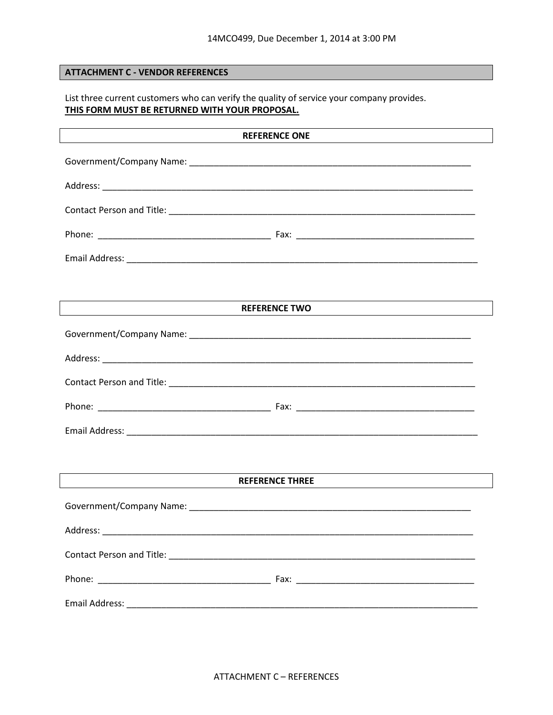## **ATTACHMENT C - VENDOR REFERENCES**

List three current customers who can verify the quality of service your company provides. THIS FORM MUST BE RETURNED WITH YOUR PROPOSAL.

| <b>REFERENCE ONE</b>                                                                   |  |  |  |  |
|----------------------------------------------------------------------------------------|--|--|--|--|
|                                                                                        |  |  |  |  |
|                                                                                        |  |  |  |  |
|                                                                                        |  |  |  |  |
|                                                                                        |  |  |  |  |
|                                                                                        |  |  |  |  |
|                                                                                        |  |  |  |  |
| <b>REFERENCE TWO</b>                                                                   |  |  |  |  |
|                                                                                        |  |  |  |  |
|                                                                                        |  |  |  |  |
|                                                                                        |  |  |  |  |
|                                                                                        |  |  |  |  |
|                                                                                        |  |  |  |  |
|                                                                                        |  |  |  |  |
| <b>REFERENCE THREE</b><br><u> 1989 - Johann Stoff, Amerikaansk politiker (d. 1989)</u> |  |  |  |  |
|                                                                                        |  |  |  |  |
| Address:                                                                               |  |  |  |  |
|                                                                                        |  |  |  |  |
|                                                                                        |  |  |  |  |
|                                                                                        |  |  |  |  |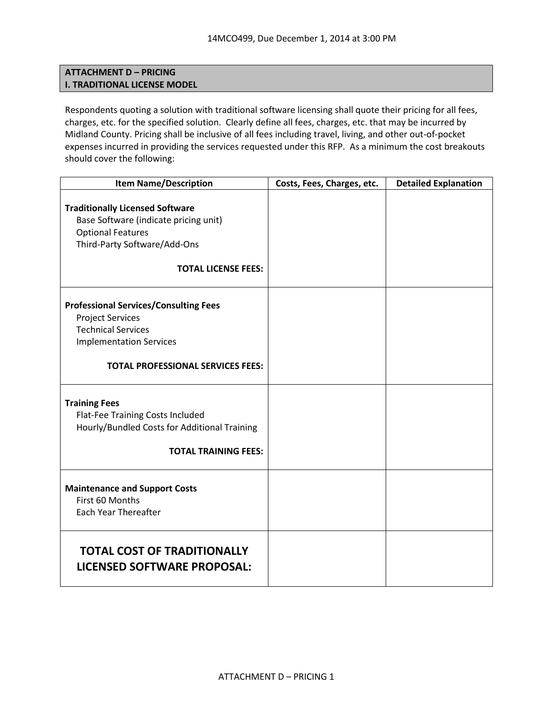## **ATTACHMENT D – PRICING I. TRADITIONAL LICENSE MODEL**

Respondents quoting a solution with traditional software licensing shall quote their pricing for all fees, charges, etc. for the specified solution. Clearly define all fees, charges, etc. that may be incurred by Midland County. Pricing shall be inclusive of all fees including travel, living, and other out-of-pocket expenses incurred in providing the services requested under this RFP. As a minimum the cost breakouts should cover the following:

| <b>Item Name/Description</b>                                                                                                                                                       | Costs, Fees, Charges, etc. | <b>Detailed Explanation</b> |
|------------------------------------------------------------------------------------------------------------------------------------------------------------------------------------|----------------------------|-----------------------------|
| <b>Traditionally Licensed Software</b><br>Base Software (indicate pricing unit)<br><b>Optional Features</b><br>Third-Party Software/Add-Ons<br><b>TOTAL LICENSE FEES:</b>          |                            |                             |
| <b>Professional Services/Consulting Fees</b><br><b>Project Services</b><br><b>Technical Services</b><br><b>Implementation Services</b><br><b>TOTAL PROFESSIONAL SERVICES FEES:</b> |                            |                             |
| <b>Training Fees</b><br>Flat-Fee Training Costs Included<br>Hourly/Bundled Costs for Additional Training<br><b>TOTAL TRAINING FEES:</b>                                            |                            |                             |
| <b>Maintenance and Support Costs</b><br>First 60 Months<br><b>Each Year Thereafter</b>                                                                                             |                            |                             |
| <b>TOTAL COST OF TRADITIONALLY</b><br><b>LICENSED SOFTWARE PROPOSAL:</b>                                                                                                           |                            |                             |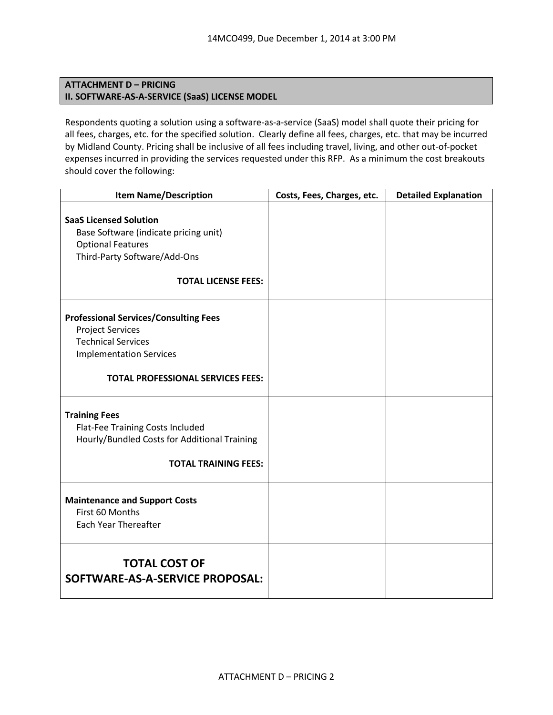## **ATTACHMENT D – PRICING II. SOFTWARE-AS-A-SERVICE (SaaS) LICENSE MODEL**

Respondents quoting a solution using a software-as-a-service (SaaS) model shall quote their pricing for all fees, charges, etc. for the specified solution. Clearly define all fees, charges, etc. that may be incurred by Midland County. Pricing shall be inclusive of all fees including travel, living, and other out-of-pocket expenses incurred in providing the services requested under this RFP. As a minimum the cost breakouts should cover the following:

| <b>Item Name/Description</b>                                                                                                                                                       | Costs, Fees, Charges, etc. | <b>Detailed Explanation</b> |
|------------------------------------------------------------------------------------------------------------------------------------------------------------------------------------|----------------------------|-----------------------------|
| <b>SaaS Licensed Solution</b><br>Base Software (indicate pricing unit)<br><b>Optional Features</b><br>Third-Party Software/Add-Ons<br><b>TOTAL LICENSE FEES:</b>                   |                            |                             |
| <b>Professional Services/Consulting Fees</b><br><b>Project Services</b><br><b>Technical Services</b><br><b>Implementation Services</b><br><b>TOTAL PROFESSIONAL SERVICES FEES:</b> |                            |                             |
| <b>Training Fees</b><br>Flat-Fee Training Costs Included<br>Hourly/Bundled Costs for Additional Training<br><b>TOTAL TRAINING FEES:</b>                                            |                            |                             |
| <b>Maintenance and Support Costs</b><br>First 60 Months<br><b>Each Year Thereafter</b>                                                                                             |                            |                             |
| <b>TOTAL COST OF</b><br>SOFTWARE-AS-A-SERVICE PROPOSAL:                                                                                                                            |                            |                             |